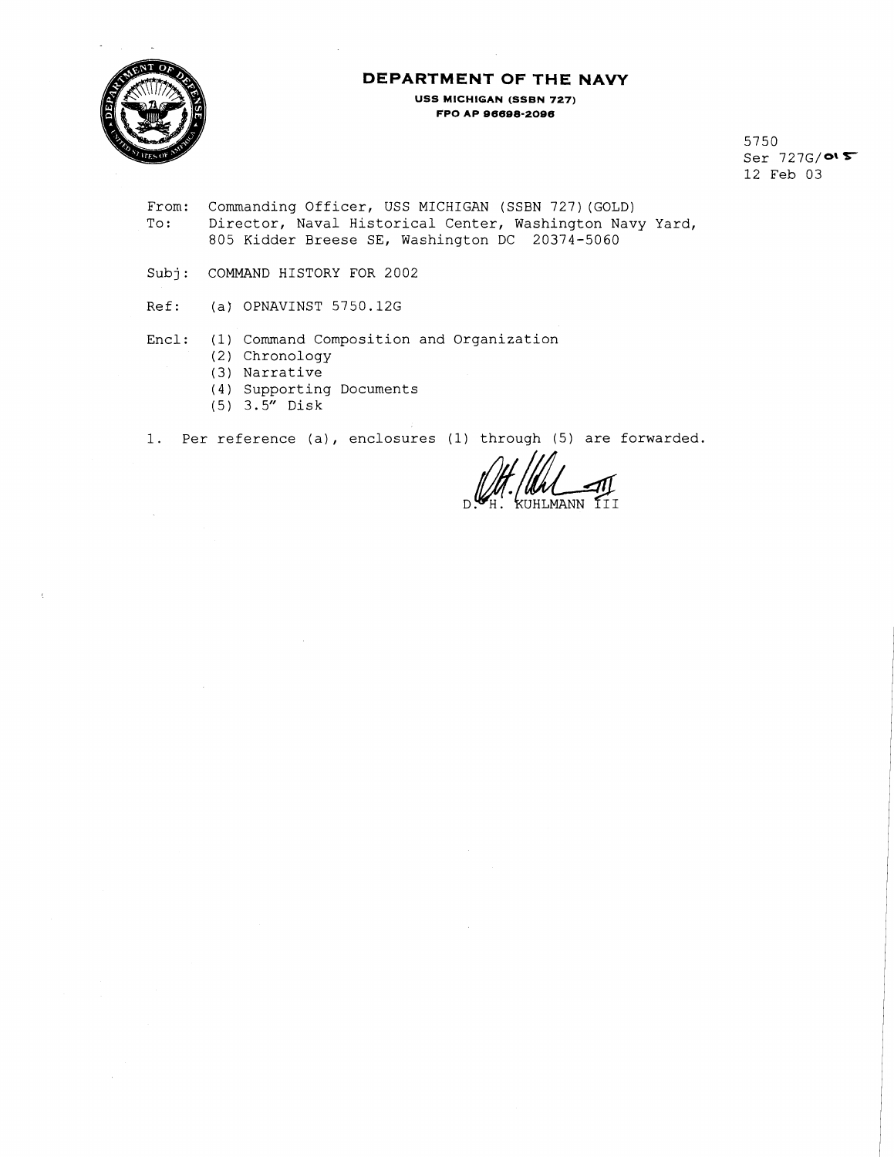

# **DEPARTMENT OF THE NAVY**

**USS MICHIGAN (SSBN 727) FPO AP 96688-2096** 

> 5750  $Ser$  727 $G/O$ 12 Feb 03

- From: Commanding Officer, USS MICHIGAN (SSBN 727)(GOLD) To: Director, Naval Historical Center, Washington Navy Yard, 805 Kidder Breese SE, Washington DC 20374-5060
- Subj: COMMAND HISTORY FOR 2002
- Ref: (a) OPNAVINST 5750.12G
- Encl: (1) Command Composition and Organization
	- (2) Chronology
	- (3) Narrative
	- (4) Supporting Documents
	- (5) 3.5" Disk

1. Per reference (a), enclosures (1) through (5) are forwarded.

KUHLMANN III  $\mathsf{D}$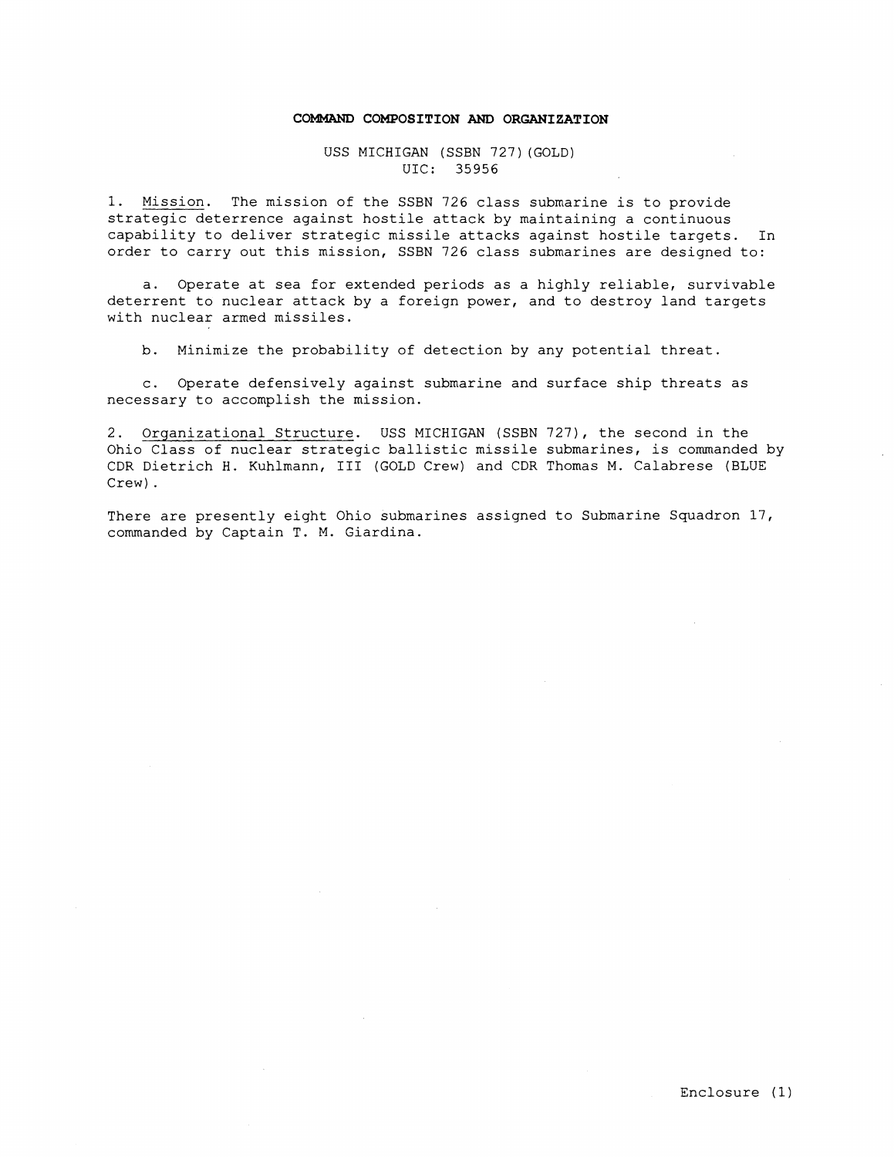#### **COMMAND COMPOSITION AND ORGANIZATION**

USS MICHIGAN (SSBN 727)(GOLD) UIC: 35956

1. Mission. The mission of the SSBN 726 class submarine is to provide strategic deterrence against hostile attack by maintaining a continuous capability to deliver strategic missile attacks against hostile targets. In order to carry out this mission, SSBN 726 class submarines are designed to:

a. Operate at sea for extended periods as a highly reliable, survivable deterrent to nuclear attack by a foreign power, and to destroy land targets with nuclear armed missiles.

b. Minimize the probability of detection by any potential threat.

c. Operate defensively against submarine and surface ship threats as necessary to accomplish the mission.

2. Organizational Structure. USS MICHIGAN (SSBN 727), the second in the Ohio Class of nuclear strategic ballistic missile submarines, is commanded by CDR Dietrich H. Kuhlmann, I11 (GOLD Crew) and CDR Thomas M. Calabrese (BLUE Crew) .

There are presently eight Ohio submarines assigned to Submarine Squadron 17, commanded by Captain T. M. Giardina.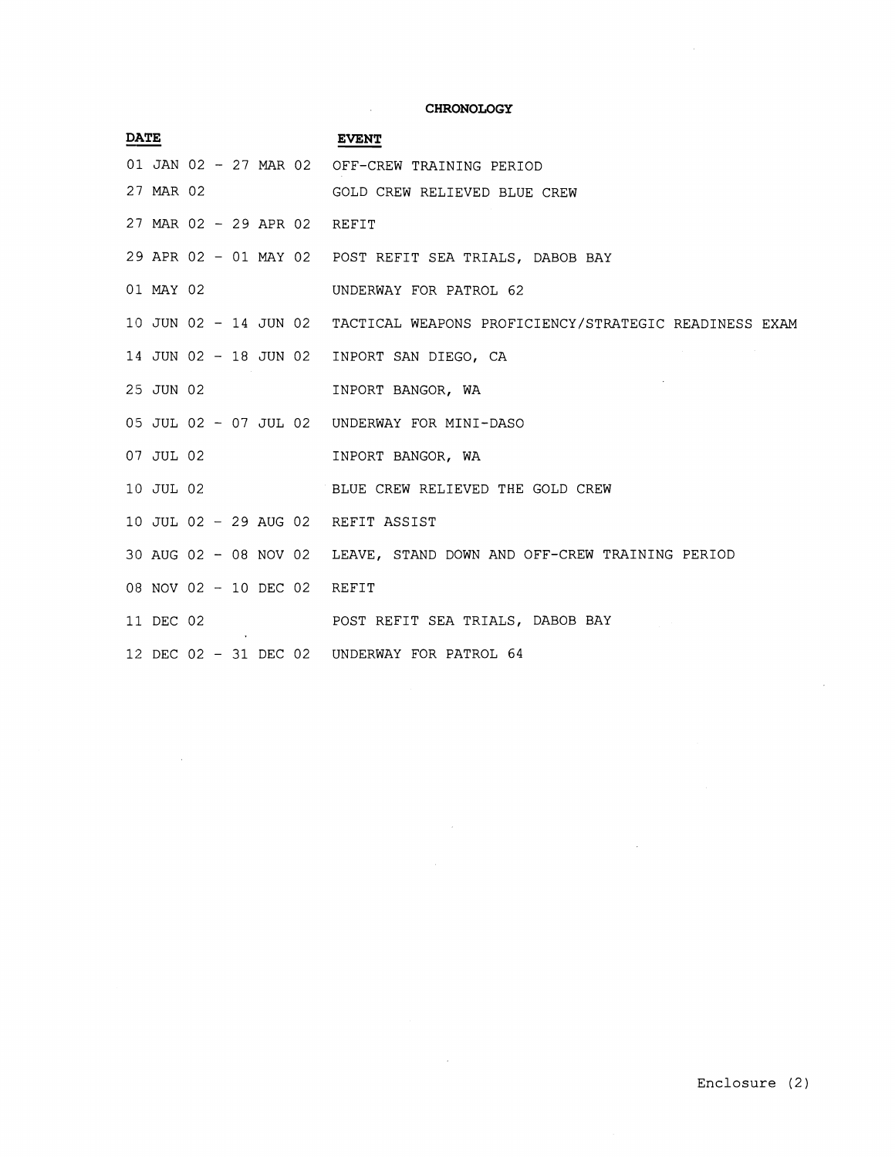#### **CHRONOLOGY**

 $\Delta \sim$ 

 $\mathcal{L}^{\text{max}}_{\text{max}}$  ,  $\mathcal{L}^{\text{max}}_{\text{max}}$ 

| <b>DATE</b> |           |  |  | <b>EVENT</b>                                                                |
|-------------|-----------|--|--|-----------------------------------------------------------------------------|
|             |           |  |  | 01 JAN 02 - 27 MAR 02 OFF-CREW TRAINING PERIOD                              |
|             | 27 MAR 02 |  |  | GOLD CREW RELIEVED BLUE CREW                                                |
|             |           |  |  | 27 MAR 02 - 29 APR 02 REFIT                                                 |
|             |           |  |  | 29 APR 02 - 01 MAY 02 POST REFIT SEA TRIALS, DABOB BAY                      |
|             | 01 MAY 02 |  |  | UNDERWAY FOR PATROL 62                                                      |
|             |           |  |  | 10 JUN 02 - 14 JUN 02 TACTICAL WEAPONS PROFICIENCY/STRATEGIC READINESS EXAM |
|             |           |  |  | 14 JUN 02 - 18 JUN 02 INPORT SAN DIEGO, CA                                  |
|             | 25 JUN 02 |  |  | INPORT BANGOR, WA                                                           |
|             |           |  |  | 05 JUL 02 - 07 JUL 02 UNDERWAY FOR MINI-DASO                                |
|             | 07 JUL 02 |  |  | INPORT BANGOR, WA                                                           |
|             | 10 JUL 02 |  |  | BLUE CREW RELIEVED THE GOLD CREW                                            |
|             |           |  |  | 10 JUL 02 - 29 AUG 02 REFIT ASSIST                                          |
|             |           |  |  | 30 AUG 02 - 08 NOV 02 LEAVE, STAND DOWN AND OFF-CREW TRAINING PERIOD        |
|             |           |  |  | 08 NOV 02 - 10 DEC 02 REFIT                                                 |
|             | 11 DEC 02 |  |  | POST REFIT SEA TRIALS, DABOB BAY                                            |
|             |           |  |  | 12 DEC 02 - 31 DEC 02 UNDERWAY FOR PATROL 64                                |

 $\sim 10^6$ 

 $\sim 400$ 

 $\sim 10$ 

 $\mathcal{A}^{\mathcal{A}}$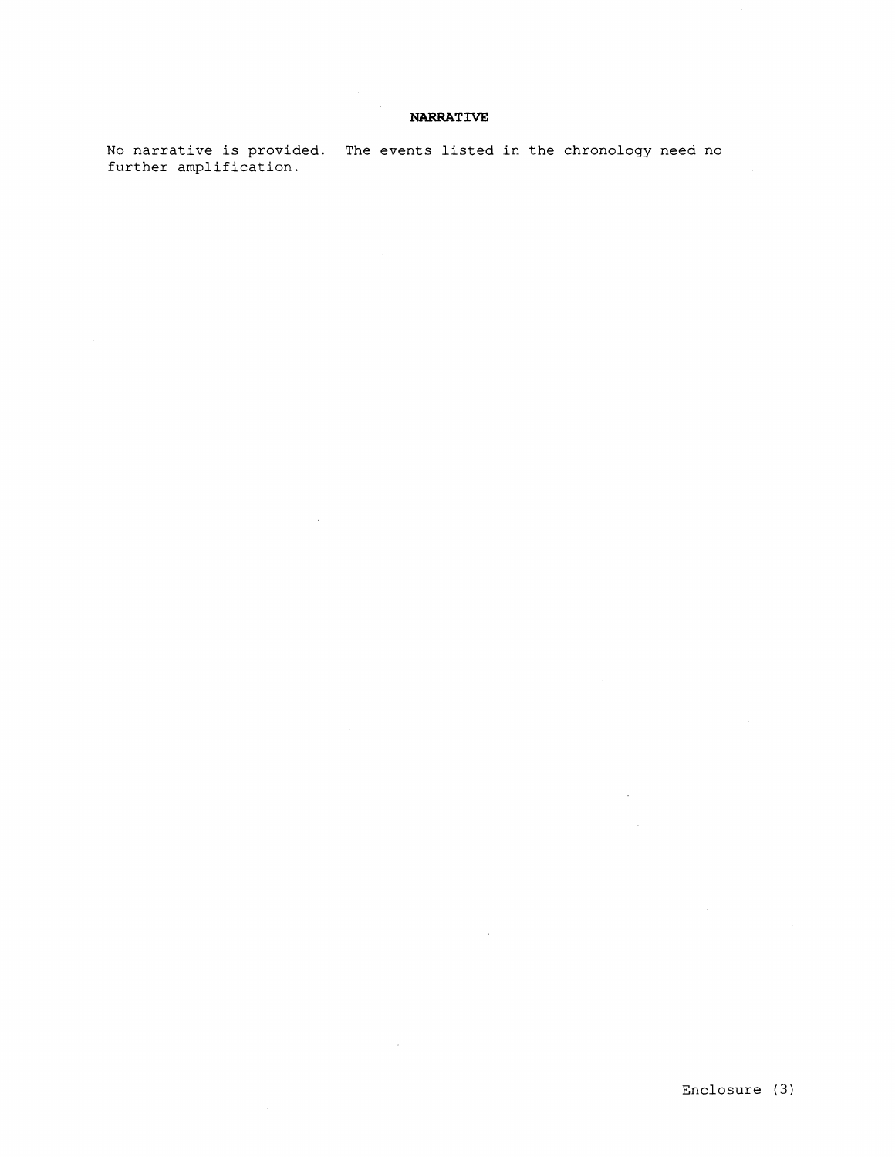### **NARRATIVE**

No narrative is provided. The events listed in the chronology need no further amplification.

 $\sim 10$ 

 $\mathcal{L}_{\rm{in}}$ 

 $\hat{\mathcal{L}}$ 

 $\bar{z}$ 

 $\bar{z}$